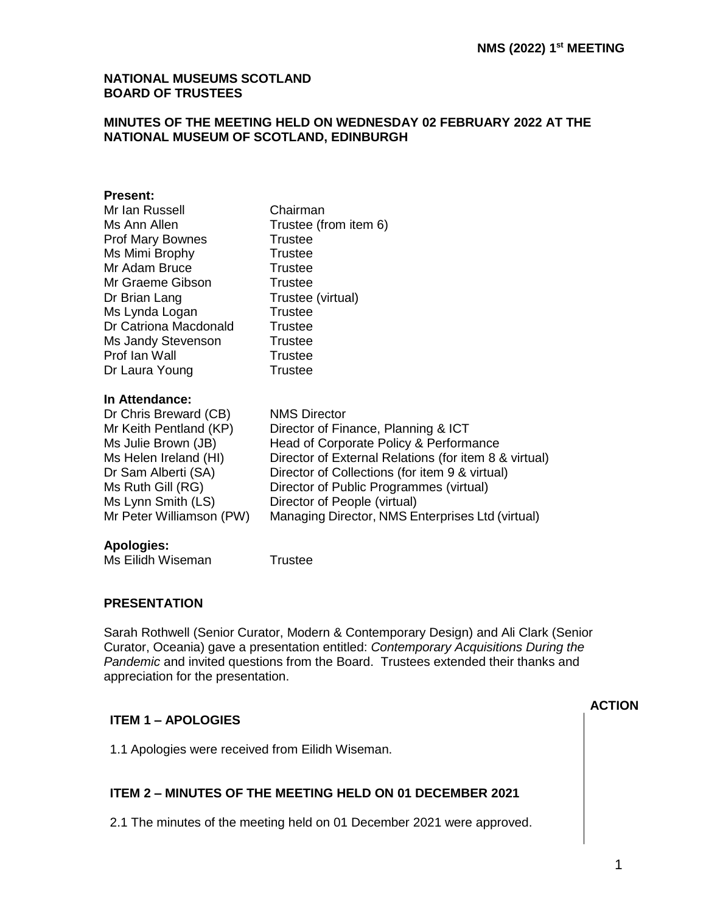### **NATIONAL MUSEUMS SCOTLAND BOARD OF TRUSTEES**

### **MINUTES OF THE MEETING HELD ON WEDNESDAY 02 FEBRUARY 2022 AT THE NATIONAL MUSEUM OF SCOTLAND, EDINBURGH**

#### **Present:**

| Mr Ian Russell           | Chairman                                              |
|--------------------------|-------------------------------------------------------|
| Ms Ann Allen             | Trustee (from item 6)                                 |
| Prof Mary Bownes         | <b>Trustee</b>                                        |
| Ms Mimi Brophy           | <b>Trustee</b>                                        |
| Mr Adam Bruce            | Trustee                                               |
| Mr Graeme Gibson         | Trustee                                               |
| Dr Brian Lang            | Trustee (virtual)                                     |
| Ms Lynda Logan           | <b>Trustee</b>                                        |
| Dr Catriona Macdonald    | <b>Trustee</b>                                        |
| Ms Jandy Stevenson       | Trustee                                               |
| Prof Ian Wall            | <b>Trustee</b>                                        |
| Dr Laura Young           | <b>Trustee</b>                                        |
| In Attendance:           |                                                       |
| Dr Chris Breward (CB)    | <b>NMS Director</b>                                   |
| Mr Keith Pentland (KP)   | Director of Finance, Planning & ICT                   |
| Ms Julie Brown (JB)      | Head of Corporate Policy & Performance                |
| Ms Helen Ireland (HI)    | Director of External Relations (for item 8 & virtual) |
| Dr Sam Alberti (SA)      | Director of Collections (for item 9 & virtual)        |
| Ms Ruth Gill (RG)        | Director of Public Programmes (virtual)               |
| Ms Lynn Smith (LS)       | Director of People (virtual)                          |
| Mr Peter Williamson (PW) | Managing Director, NMS Enterprises Ltd (virtual)      |
|                          |                                                       |

## **Apologies:**

## **PRESENTATION**

Sarah Rothwell (Senior Curator, Modern & Contemporary Design) and Ali Clark (Senior Curator, Oceania) gave a presentation entitled: *Contemporary Acquisitions During the Pandemic* and invited questions from the Board. Trustees extended their thanks and appreciation for the presentation.

## **ITEM 1 – APOLOGIES**

1.1 Apologies were received from Eilidh Wiseman.

# **ITEM 2 – MINUTES OF THE MEETING HELD ON 01 DECEMBER 2021**

2.1 The minutes of the meeting held on 01 December 2021 were approved.

### **ACTION**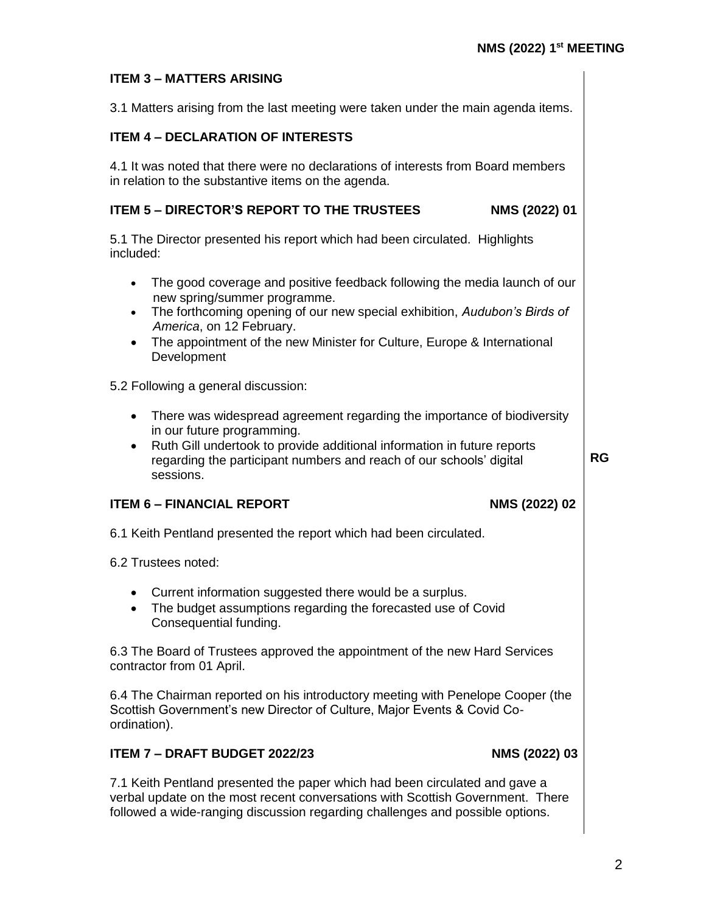# **ITEM 3 – MATTERS ARISING**

3.1 Matters arising from the last meeting were taken under the main agenda items.

## **ITEM 4 – DECLARATION OF INTERESTS**

4.1 It was noted that there were no declarations of interests from Board members in relation to the substantive items on the agenda.

### **ITEM 5 – DIRECTOR'S REPORT TO THE TRUSTEES NMS (2022) 01**

5.1 The Director presented his report which had been circulated. Highlights included:

- The good coverage and positive feedback following the media launch of our new spring/summer programme.
- The forthcoming opening of our new special exhibition, *Audubon's Birds of America*, on 12 February.
- The appointment of the new Minister for Culture, Europe & International **Development**

5.2 Following a general discussion:

- There was widespread agreement regarding the importance of biodiversity in our future programming.
- Ruth Gill undertook to provide additional information in future reports regarding the participant numbers and reach of our schools' digital sessions.

**RG**

#### **ITEM 6 – FINANCIAL REPORT NMS (2022) 02**

- 
- 6.1 Keith Pentland presented the report which had been circulated.

6.2 Trustees noted:

- Current information suggested there would be a surplus.
- The budget assumptions regarding the forecasted use of Covid Consequential funding.

6.3 The Board of Trustees approved the appointment of the new Hard Services contractor from 01 April.

6.4 The Chairman reported on his introductory meeting with Penelope Cooper (the Scottish Government's new Director of Culture, Major Events & Covid Coordination).

## **ITEM 7 – DRAFT BUDGET 2022/23 NMS (2022) 03**

7.1 Keith Pentland presented the paper which had been circulated and gave a verbal update on the most recent conversations with Scottish Government. There followed a wide-ranging discussion regarding challenges and possible options.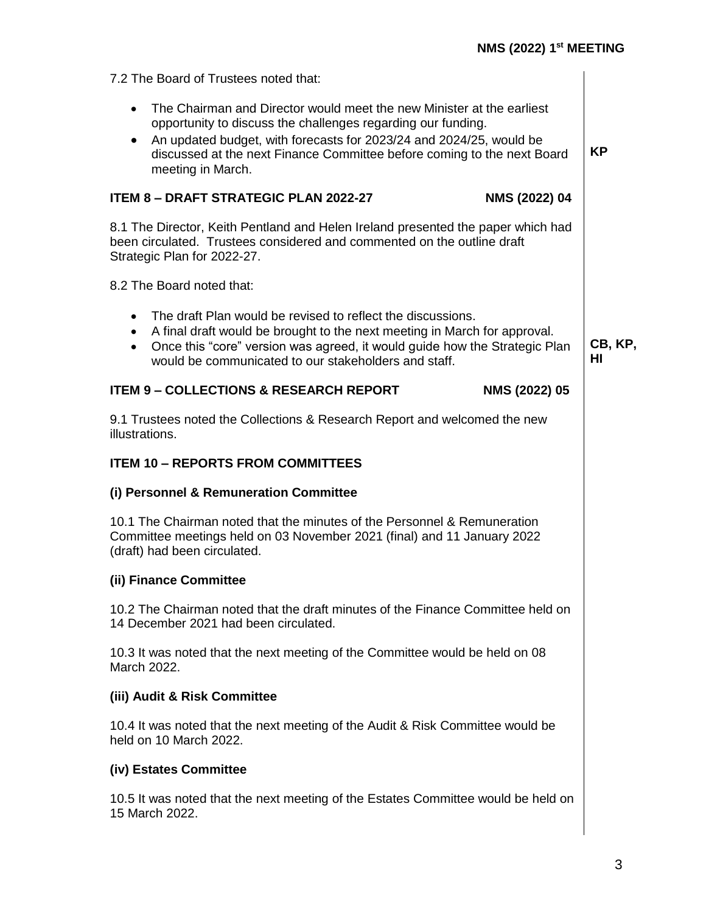| 7.2 The Board of Trustees noted that:                                                                                                                                                                                                                                                                                     |               |  |  |  |
|---------------------------------------------------------------------------------------------------------------------------------------------------------------------------------------------------------------------------------------------------------------------------------------------------------------------------|---------------|--|--|--|
| The Chairman and Director would meet the new Minister at the earliest<br>$\bullet$<br>opportunity to discuss the challenges regarding our funding.<br>An updated budget, with forecasts for 2023/24 and 2024/25, would be<br>discussed at the next Finance Committee before coming to the next Board<br>meeting in March. |               |  |  |  |
| <b>ITEM 8 - DRAFT STRATEGIC PLAN 2022-27</b><br>NMS (2022) 04                                                                                                                                                                                                                                                             |               |  |  |  |
| 8.1 The Director, Keith Pentland and Helen Ireland presented the paper which had<br>been circulated. Trustees considered and commented on the outline draft<br>Strategic Plan for 2022-27.                                                                                                                                |               |  |  |  |
| 8.2 The Board noted that:                                                                                                                                                                                                                                                                                                 |               |  |  |  |
| The draft Plan would be revised to reflect the discussions.<br>$\bullet$<br>A final draft would be brought to the next meeting in March for approval.<br>$\bullet$<br>Once this "core" version was agreed, it would guide how the Strategic Plan<br>$\bullet$<br>would be communicated to our stakeholders and staff.     | CB, KP,<br>ΗI |  |  |  |
| <b>ITEM 9 - COLLECTIONS &amp; RESEARCH REPORT</b><br>NMS (2022) 05                                                                                                                                                                                                                                                        |               |  |  |  |
| 9.1 Trustees noted the Collections & Research Report and welcomed the new<br>illustrations.                                                                                                                                                                                                                               |               |  |  |  |
| <b>ITEM 10 - REPORTS FROM COMMITTEES</b>                                                                                                                                                                                                                                                                                  |               |  |  |  |
| (i) Personnel & Remuneration Committee                                                                                                                                                                                                                                                                                    |               |  |  |  |
| 10.1 The Chairman noted that the minutes of the Personnel & Remuneration<br>Committee meetings held on 03 November 2021 (final) and 11 January 2022<br>(draft) had been circulated.                                                                                                                                       |               |  |  |  |
| (ii) Finance Committee                                                                                                                                                                                                                                                                                                    |               |  |  |  |
|                                                                                                                                                                                                                                                                                                                           |               |  |  |  |
| 10.2 The Chairman noted that the draft minutes of the Finance Committee held on<br>14 December 2021 had been circulated.                                                                                                                                                                                                  |               |  |  |  |
| 10.3 It was noted that the next meeting of the Committee would be held on 08<br>March 2022.                                                                                                                                                                                                                               |               |  |  |  |
| (iii) Audit & Risk Committee                                                                                                                                                                                                                                                                                              |               |  |  |  |
| 10.4 It was noted that the next meeting of the Audit & Risk Committee would be<br>held on 10 March 2022.                                                                                                                                                                                                                  |               |  |  |  |
| (iv) Estates Committee                                                                                                                                                                                                                                                                                                    |               |  |  |  |